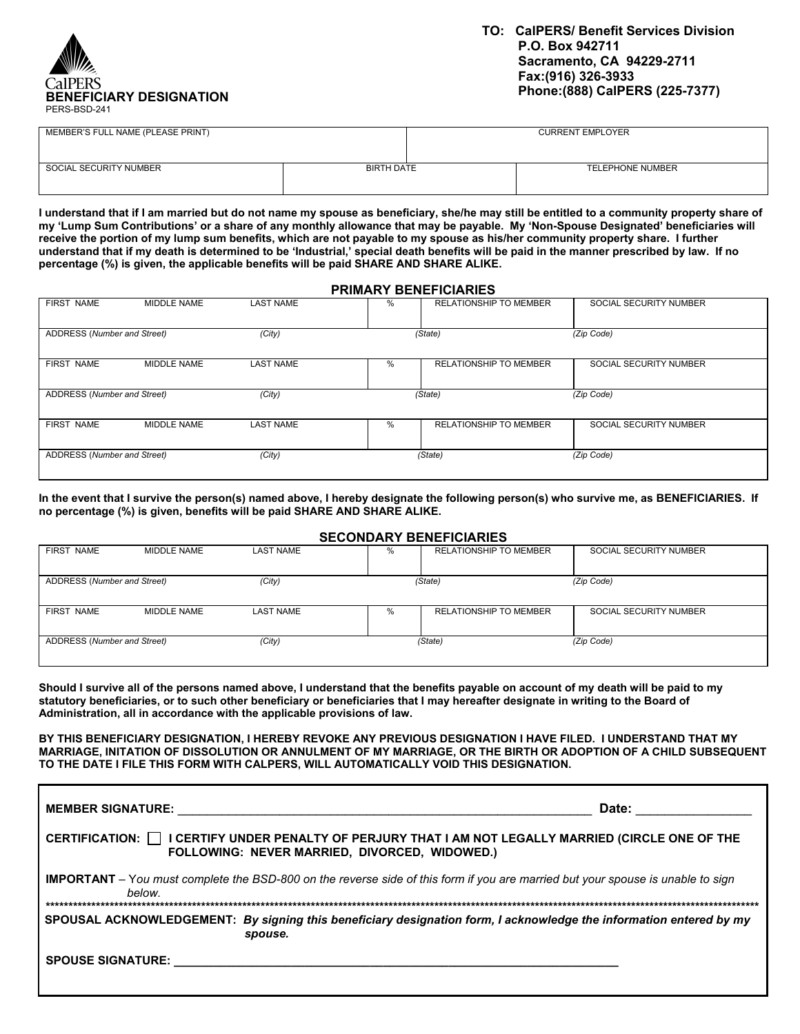

| MEMBER'S FULL NAME (PLEASE PRINT) |            | <b>CURRENT EMPLOYER</b> |
|-----------------------------------|------------|-------------------------|
| SOCIAL SECURITY NUMBER            | BIRTH DATE | <b>TELEPHONE NUMBER</b> |

**I understand that if I am married but do not name my spouse as beneficiary, she/he may still be entitled to a community property share of my 'Lump Sum Contributions' or a share of any monthly allowance that may be payable. My 'Non-Spouse Designated' beneficiaries will receive the portion of my lump sum benefits, which are not payable to my spouse as his/her community property share. I further understand that if my death is determined to be 'Industrial,' special death benefits will be paid in the manner prescribed by law. If no percentage (%) is given, the applicable benefits will be paid SHARE AND SHARE ALIKE.** 

### **PRIMARY BENEFICIARIES**

| <b>FIRST NAME</b>           | MIDDLE NAME | <b>LAST NAME</b> | % | <b>RELATIONSHIP TO MEMBER</b> | SOCIAL SECURITY NUMBER |
|-----------------------------|-------------|------------------|---|-------------------------------|------------------------|
| ADDRESS (Number and Street) |             | (City)           |   | (State)                       | (Zip Code)             |
| <b>FIRST NAME</b>           | MIDDLE NAME | <b>LAST NAME</b> | % | <b>RELATIONSHIP TO MEMBER</b> | SOCIAL SECURITY NUMBER |
| ADDRESS (Number and Street) |             | (City)           |   | (State)                       | (Zip Code)             |
| <b>FIRST NAME</b>           | MIDDLE NAME | <b>LAST NAME</b> | % | <b>RELATIONSHIP TO MEMBER</b> | SOCIAL SECURITY NUMBER |
| ADDRESS (Number and Street) |             | (City)           |   | (State)                       | (Zip Code)             |

**In the event that I survive the person(s) named above, I hereby designate the following person(s) who survive me, as BENEFICIARIES. If no percentage (%) is given, benefits will be paid SHARE AND SHARE ALIKE.** 

#### **SECONDARY BENEFICIARIES**

|                             |             |                  |      | <u>ULVUIIDAILI DEIIEI IVIAILEU</u> |                        |
|-----------------------------|-------------|------------------|------|------------------------------------|------------------------|
| <b>FIRST NAME</b>           | MIDDLE NAME | <b>LAST NAME</b> | %    | <b>RELATIONSHIP TO MEMBER</b>      | SOCIAL SECURITY NUMBER |
| ADDRESS (Number and Street) |             | (City)           |      | (State)                            | (Zip Code)             |
| FIRST NAME                  | MIDDLE NAME | <b>LAST NAME</b> | $\%$ | <b>RELATIONSHIP TO MEMBER</b>      | SOCIAL SECURITY NUMBER |
| ADDRESS (Number and Street) |             | (City)           |      | (State)                            | (Zip Code)             |

**Should I survive all of the persons named above, I understand that the benefits payable on account of my death will be paid to my statutory beneficiaries, or to such other beneficiary or beneficiaries that I may hereafter designate in writing to the Board of Administration, all in accordance with the applicable provisions of law.** 

**BY THIS BENEFICIARY DESIGNATION, I HEREBY REVOKE ANY PREVIOUS DESIGNATION I HAVE FILED. I UNDERSTAND THAT MY MARRIAGE, INITATION OF DISSOLUTION OR ANNULMENT OF MY MARRIAGE, OR THE BIRTH OR ADOPTION OF A CHILD SUBSEQUENT TO THE DATE I FILE THIS FORM WITH CALPERS, WILL AUTOMATICALLY VOID THIS DESIGNATION.** 

| <b>MEMBER SIGNATURE:</b>                                                                                                                              | Date:                                                                                                                                  |  |  |
|-------------------------------------------------------------------------------------------------------------------------------------------------------|----------------------------------------------------------------------------------------------------------------------------------------|--|--|
| CERTIFICATION: □ I CERTIFY UNDER PENALTY OF PERJURY THAT I AM NOT LEGALLY MARRIED (CIRCLE ONE OF THE<br>FOLLOWING: NEVER MARRIED, DIVORCED, WIDOWED.) |                                                                                                                                        |  |  |
| below.                                                                                                                                                | <b>IMPORTANT</b> – You must complete the BSD-800 on the reverse side of this form if you are married but your spouse is unable to sign |  |  |
|                                                                                                                                                       | SPOUSAL ACKNOWLEDGEMENT: By signing this beneficiary designation form, I acknowledge the information entered by my<br>spouse.          |  |  |
| <b>SPOUSE SIGNATURE:</b> SPOUSE SIGNATURE:                                                                                                            |                                                                                                                                        |  |  |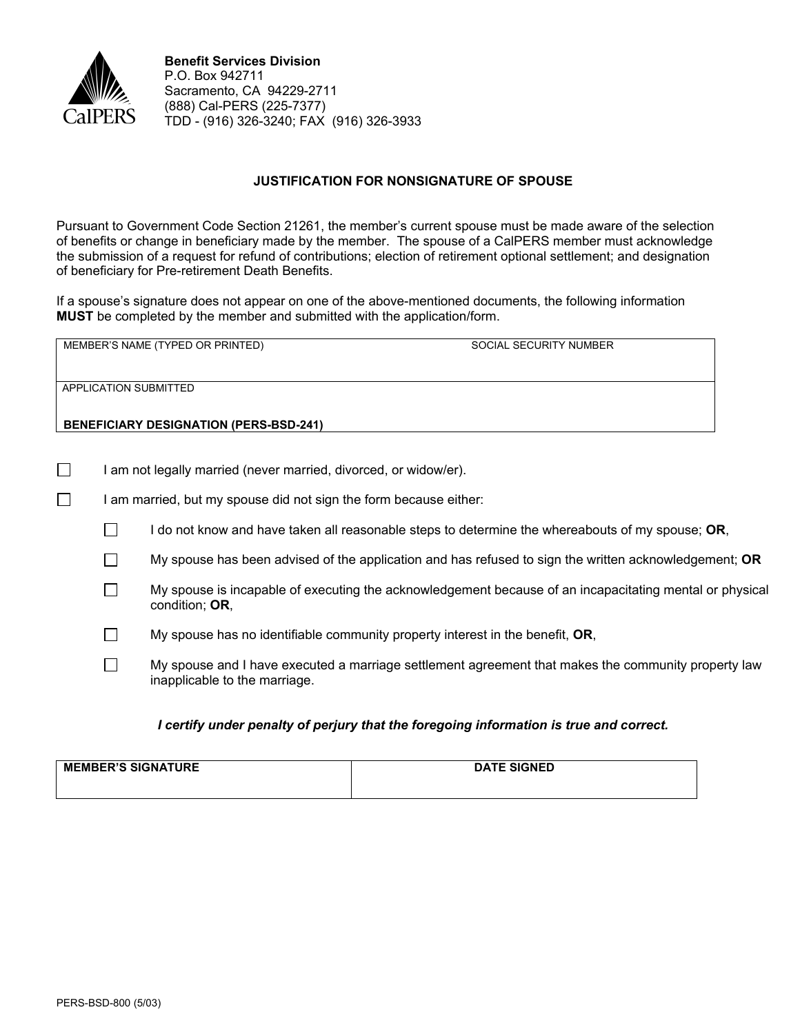

## **JUSTIFICATION FOR NONSIGNATURE OF SPOUSE**

Pursuant to Government Code Section 21261, the member's current spouse must be made aware of the selection of benefits or change in beneficiary made by the member. The spouse of a CalPERS member must acknowledge the submission of a request for refund of contributions; election of retirement optional settlement; and designation of beneficiary for Pre-retirement Death Benefits.

If a spouse's signature does not appear on one of the above-mentioned documents, the following information **MUST** be completed by the member and submitted with the application/form.

| MEMBER'S NAME (TYPED OR PRINTED)              | SOCIAL SECURITY NUMBER |
|-----------------------------------------------|------------------------|
| APPLICATION SUBMITTED                         |                        |
| <b>BENEFICIARY DESIGNATION (PERS-BSD-241)</b> |                        |

- $\Box$  I am not legally married (never married, divorced, or widow/er).
- $\Box$  I am married, but my spouse did not sign the form because either:
	- $\Box$  I do not know and have taken all reasonable steps to determine the whereabouts of my spouse; OR,
	- My spouse has been advised of the application and has refused to sign the written acknowledgement; **OR**
	- $\Box$  My spouse is incapable of executing the acknowledgement because of an incapacitating mental or physical condition; **OR**,
	- My spouse has no identifiable community property interest in the benefit, **OR**,
	- $\Box$  My spouse and I have executed a marriage settlement agreement that makes the community property law inapplicable to the marriage.

### *I certify under penalty of perjury that the foregoing information is true and correct.*

| <b>MEMBER'S SIGNATURE</b> | <b>DATE SIGNED</b> |
|---------------------------|--------------------|
|                           |                    |
|                           |                    |
|                           |                    |
|                           |                    |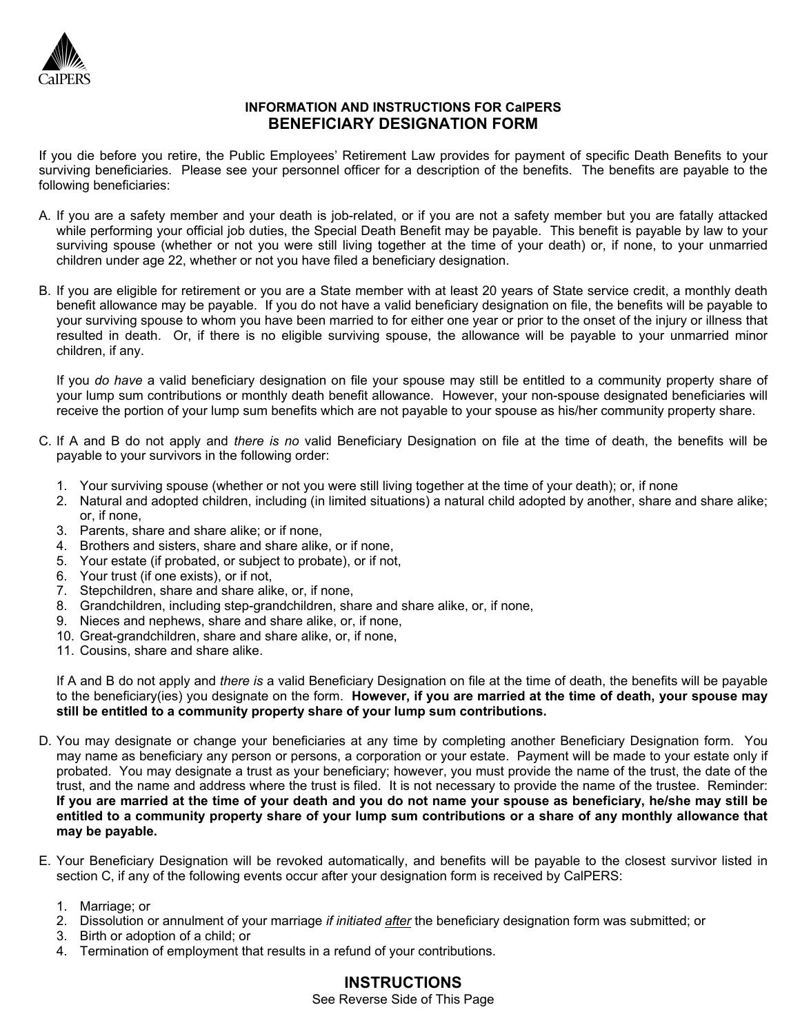

# **INFORMATION AND INSTRUCTIONS FOR CalPERS BENEFICIARY DESIGNATION FORM**

If you die before you retire, the Public Employees' Retirement Law provides for payment of specific Death Benefits to your surviving beneficiaries. Please see your personnel officer for a description of the benefits. The benefits are payable to the following beneficiaries:

- A. If you are a safety member and your death is job-related, or if you are not a safety member but you are fatally attacked while performing your official job duties, the Special Death Benefit may be payable. This benefit is payable by law to your surviving spouse (whether or not you were still living together at the time of your death) or, if none, to your unmarried children under age 22, whether or not you have filed a beneficiary designation.
- B. If you are eligible for retirement or you are a State member with at least 20 years of State service credit, a monthly death benefit allowance may be payable. If you do not have a valid beneficiary designation on file, the benefits will be payable to your surviving spouse to whom you have been married to for either one year or prior to the onset of the injury or illness that resulted in death. Or, if there is no eligible surviving spouse, the allowance will be payable to your unmarried minor children, if any.

If you *do have* a valid beneficiary designation on file your spouse may still be entitled to a community property share of your lump sum contributions or monthly death benefit allowance. However, your non-spouse designated beneficiaries will receive the portion of your lump sum benefits which are not payable to your spouse as his/her community property share.

- C. If A and B do not apply and *there is no* valid Beneficiary Designation on file at the time of death, the benefits will be payable to your survivors in the following order:
	- 1. Your surviving spouse (whether or not you were still living together at the time of your death); or, if none
	- 2. Natural and adopted children, including (in limited situations) a natural child adopted by another, share and share alike; or, if none,
	- 3. Parents, share and share alike; or if none,
	- 4. Brothers and sisters, share and share alike, or if none,
	- 5. Your estate (if probated, or subject to probate), or if not,
	- 6. Your trust (if one exists), or if not,
	- 7. Stepchildren, share and share alike, or, if none,
	- 8. Grandchildren, including step-grandchildren, share and share alike, or, if none,
	- 9. Nieces and nephews, share and share alike, or, if none,
	- 10. Great-grandchildren, share and share alike, or, if none,
	- 11. Cousins, share and share alike.

If A and B do not apply and *there is* a valid Beneficiary Designation on file at the time of death, the benefits will be payable to the beneficiary(ies) you designate on the form. **However, if you are married at the time of death, your spouse may still be entitled to a community property share of your lump sum contributions.**

- D. You may designate or change your beneficiaries at any time by completing another Beneficiary Designation form. You may name as beneficiary any person or persons, a corporation or your estate. Payment will be made to your estate only if probated. You may designate a trust as your beneficiary; however, you must provide the name of the trust, the date of the trust, and the name and address where the trust is filed. It is not necessary to provide the name of the trustee. Reminder: **If you are married at the time of your death and you do not name your spouse as beneficiary, he/she may still be entitled to a community property share of your lump sum contributions or a share of any monthly allowance that may be payable.**
- E. Your Beneficiary Designation will be revoked automatically, and benefits will be payable to the closest survivor listed in section C, if any of the following events occur after your designation form is received by CalPERS:
	- 1. Marriage; or
	- 2. Dissolution or annulment of your marriage *if initiated after* the beneficiary designation form was submitted; or
	- 3. Birth or adoption of a child; or
	- 4. Termination of employment that results in a refund of your contributions.

# **INSTRUCTIONS**

See Reverse Side of This Page